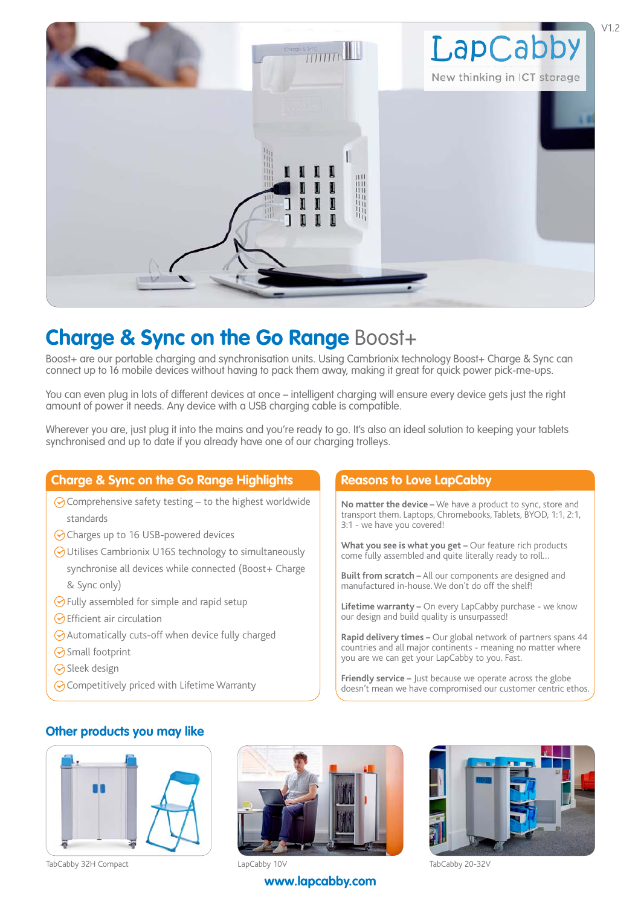

## **Charge & Sync on the Go Range Boost+**

Boost+ are our portable charging and synchronisation units. Using Cambrionix technology Boost+ Charge & Sync can connect up to 16 mobile devices without having to pack them away, making it great for quick power pick-me-ups.

You can even plug in lots of different devices at once – intelligent charging will ensure every device gets just the right amount of power it needs. Any device with a USB charging cable is compatible.

Wherever you are, just plug it into the mains and you're ready to go. It's also an ideal solution to keeping your tablets synchronised and up to date if you already have one of our charging trolleys.

#### **Charge & Sync on the Go Range Highlights Reasons to Love LapCabby**

- $\odot$  Comprehensive safety testing to the highest worldwide standards
- ⊙ Charges up to 16 USB-powered devices
- Utilises Cambrionix U16S technology to simultaneously synchronise all devices while connected (Boost+ Charge & Sync only)
- $\odot$  Fully assembled for simple and rapid setup
- $\odot$  Efficient air circulation
- $\odot$  Automatically cuts-off when device fully charged
- **◆** Small footprint
- **◆** Sleek design
- $\odot$  Competitively priced with Lifetime Warranty

**No matter the device –** We have a product to sync, store and transport them. Laptops, Chromebooks, Tablets, BYOD, 1:1, 2:1, 3:1 - we have you covered!

**What you see is what you get –** Our feature rich products come fully assembled and quite literally ready to roll…

- **Built from scratch –** All our components are designed and manufactured in-house. We don't do off the shelf!
- **Lifetime warranty –** On every LapCabby purchase we know our design and build quality is unsurpassed!

**Rapid delivery times –** Our global network of partners spans 44 countries and all major continents - meaning no matter where you are we can get your LapCabby to you. Fast.

**Friendly service –** Just because we operate across the globe doesn't mean we have compromised our customer centric ethos.

#### **Other products you may like**





**[www.lapcabby.com](http://www.lapcabby.com)**

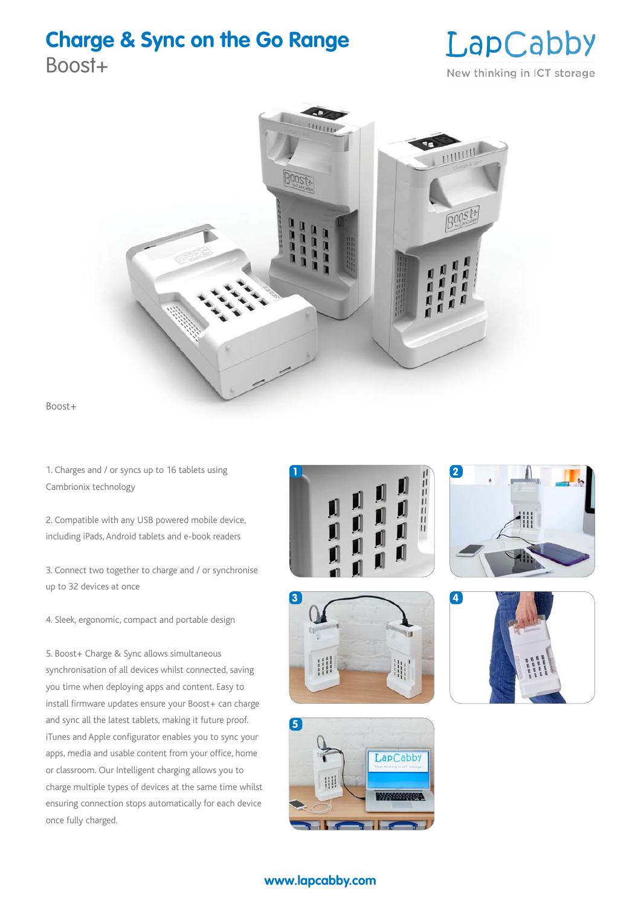## **Charge & Sync on the Go Range**

Boost+

## LapCabby New thinking in ICT storage



Boost+

1. Charges and / or syncs up to 16 tablets using Cambrionix technology

2. Compatible with any USB powered mobile device, including iPads, Android tablets and e-book readers

3. Connect two together to charge and / or synchronise up to 32 devices at once

4. Sleek, ergonomic, compact and portable design

5. Boost+ Charge & Sync allows simultaneous synchronisation of all devices whilst connected, saving you time when deploying apps and content. Easy to install firmware updates ensure your Boost+ can charge and sync all the latest tablets, making it future proof. iTunes and Apple configurator enables you to sync your apps, media and usable content from your office, home or classroom. Our Intelligent charging allows you to charge multiple types of devices at the same time whilst ensuring connection stops automatically for each device once fully charged.











### **[www.lapcabby.com](http://www.lapcabby.com)**